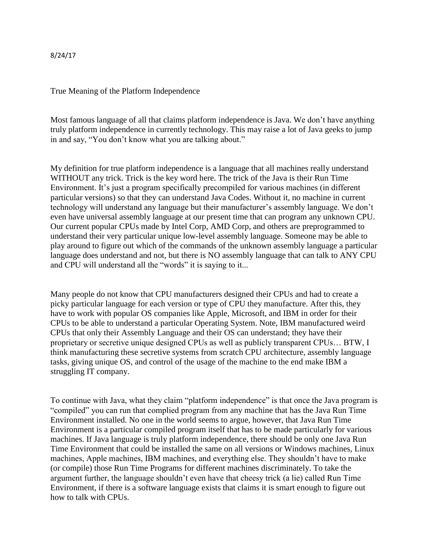8/24/17

True Meaning of the Platform Independence

Most famous language of all that claims platform independence is Java. We don't have anything truly platform independence in currently technology. This may raise a lot of Java geeks to jump in and say, "You don't know what you are talking about."

My definition for true platform independence is a language that all machines really understand WITHOUT any trick. Trick is the key word here. The trick of the Java is their Run Time Environment. It's just a program specifically precompiled for various machines (in different particular versions) so that they can understand Java Codes. Without it, no machine in current technology will understand any language but their manufacturer's assembly language. We don't even have universal assembly language at our present time that can program any unknown CPU. Our current popular CPUs made by Intel Corp, AMD Corp, and others are preprogrammed to understand their very particular unique low-level assembly language. Someone may be able to play around to figure out which of the commands of the unknown assembly language a particular language does understand and not, but there is NO assembly language that can talk to ANY CPU and CPU will understand all the "words" it is saying to it...

Many people do not know that CPU manufacturers designed their CPUs and had to create a picky particular language for each version or type of CPU they manufacture. After this, they have to work with popular OS companies like Apple, Microsoft, and IBM in order for their CPUs to be able to understand a particular Operating System. Note, IBM manufactured weird CPUs that only their Assembly Language and their OS can understand; they have their proprietary or secretive unique designed CPUs as well as publicly transparent CPUs… BTW, I think manufacturing these secretive systems from scratch CPU architecture, assembly language tasks, giving unique OS, and control of the usage of the machine to the end make IBM a struggling IT company.

To continue with Java, what they claim "platform independence" is that once the Java program is "compiled" you can run that complied program from any machine that has the Java Run Time Environment installed. No one in the world seems to argue, however, that Java Run Time Environment is a particular compiled program itself that has to be made particularly for various machines. If Java language is truly platform independence, there should be only one Java Run Time Environment that could be installed the same on all versions or Windows machines, Linux machines, Apple machines, IBM machines, and everything else. They shouldn't have to make (or compile) those Run Time Programs for different machines discriminately. To take the argument further, the language shouldn't even have that cheesy trick (a lie) called Run Time Environment, if there is a software language exists that claims it is smart enough to figure out how to talk with CPUs.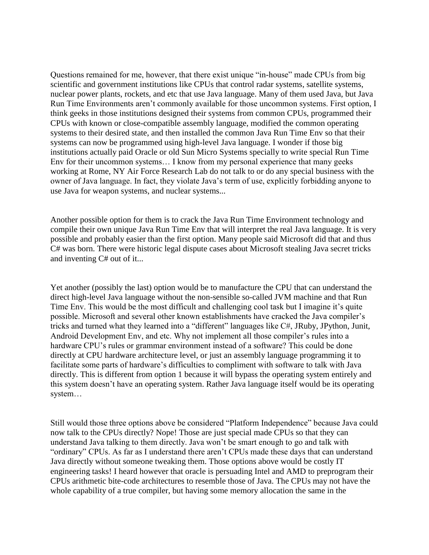Questions remained for me, however, that there exist unique "in-house" made CPUs from big scientific and government institutions like CPUs that control radar systems, satellite systems, nuclear power plants, rockets, and etc that use Java language. Many of them used Java, but Java Run Time Environments aren't commonly available for those uncommon systems. First option, I think geeks in those institutions designed their systems from common CPUs, programmed their CPUs with known or close-compatible assembly language, modified the common operating systems to their desired state, and then installed the common Java Run Time Env so that their systems can now be programmed using high-level Java language. I wonder if those big institutions actually paid Oracle or old Sun Micro Systems specially to write special Run Time Env for their uncommon systems… I know from my personal experience that many geeks working at Rome, NY Air Force Research Lab do not talk to or do any special business with the owner of Java language. In fact, they violate Java's term of use, explicitly forbidding anyone to use Java for weapon systems, and nuclear systems...

Another possible option for them is to crack the Java Run Time Environment technology and compile their own unique Java Run Time Env that will interpret the real Java language. It is very possible and probably easier than the first option. Many people said Microsoft did that and thus C# was born. There were historic legal dispute cases about Microsoft stealing Java secret tricks and inventing C# out of it...

Yet another (possibly the last) option would be to manufacture the CPU that can understand the direct high-level Java language without the non-sensible so-called JVM machine and that Run Time Env. This would be the most difficult and challenging cool task but I imagine it's quite possible. Microsoft and several other known establishments have cracked the Java compiler's tricks and turned what they learned into a "different" languages like C#, JRuby, JPython, Junit, Android Development Env, and etc. Why not implement all those compiler's rules into a hardware CPU's rules or grammar environment instead of a software? This could be done directly at CPU hardware architecture level, or just an assembly language programming it to facilitate some parts of hardware's difficulties to compliment with software to talk with Java directly. This is different from option 1 because it will bypass the operating system entirely and this system doesn't have an operating system. Rather Java language itself would be its operating system…

Still would those three options above be considered "Platform Independence" because Java could now talk to the CPUs directly? Nope! Those are just special made CPUs so that they can understand Java talking to them directly. Java won't be smart enough to go and talk with "ordinary" CPUs. As far as I understand there aren't CPUs made these days that can understand Java directly without someone tweaking them. Those options above would be costly IT engineering tasks! I heard however that oracle is persuading Intel and AMD to preprogram their CPUs arithmetic bite-code architectures to resemble those of Java. The CPUs may not have the whole capability of a true compiler, but having some memory allocation the same in the